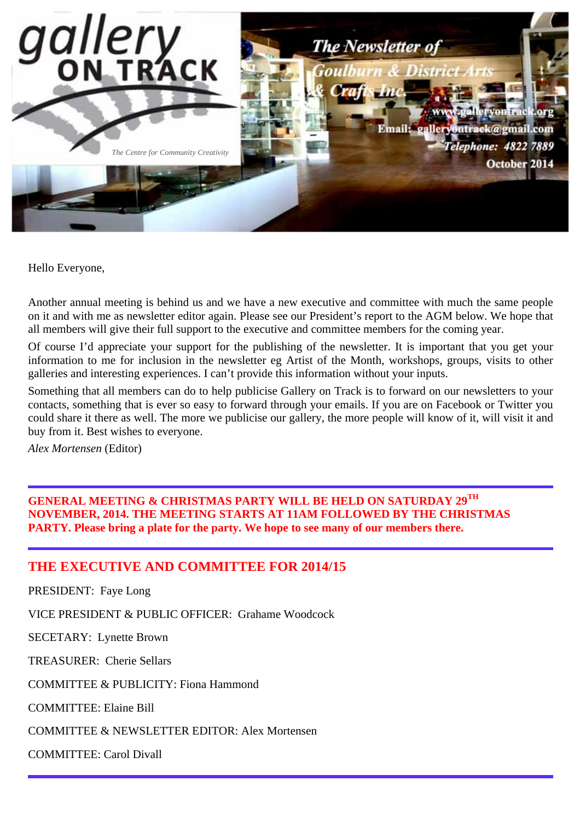

Hello Everyone,

Another annual meeting is behind us and we have a new executive and committee with much the same people on it and with me as newsletter editor again. Please see our President's report to the AGM below. We hope that all members will give their full support to the executive and committee members for the coming year.

Of course I'd appreciate your support for the publishing of the newsletter. It is important that you get your information to me for inclusion in the newsletter eg Artist of the Month, workshops, groups, visits to other galleries and interesting experiences. I can't provide this information without your inputs.

Something that all members can do to help publicise Gallery on Track is to forward on our newsletters to your contacts, something that is ever so easy to forward through your emails. If you are on Facebook or Twitter you could share it there as well. The more we publicise our gallery, the more people will know of it, will visit it and buy from it. Best wishes to everyone.

*Alex Mortensen* (Editor)

**GENERAL MEETING & CHRISTMAS PARTY WILL BE HELD ON SATURDAY 29TH NOVEMBER, 2014. THE MEETING STARTS AT 11AM FOLLOWED BY THE CHRISTMAS PARTY. Please bring a plate for the party. We hope to see many of our members there.**

## **THE EXECUTIVE AND COMMITTEE FOR 2014/15**

PRESIDENT: Faye Long

VICE PRESIDENT & PUBLIC OFFICER: Grahame Woodcock

SECETARY: Lynette Brown

TREASURER: Cherie Sellars

COMMITTEE & PUBLICITY: Fiona Hammond

COMMITTEE: Elaine Bill

COMMITTEE & NEWSLETTER EDITOR: Alex Mortensen

COMMITTEE: Carol Divall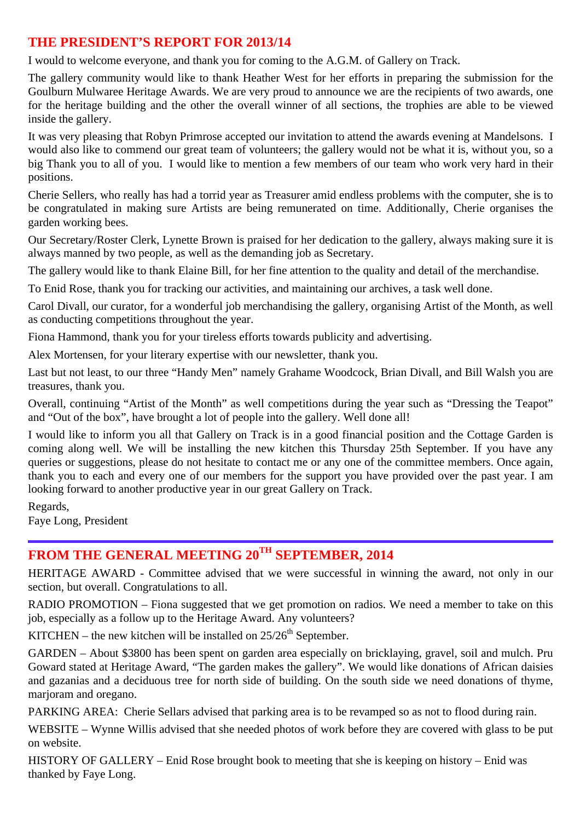## **THE PRESIDENT'S REPORT FOR 2013/14**

I would to welcome everyone, and thank you for coming to the A.G.M. of Gallery on Track.

The gallery community would like to thank Heather West for her efforts in preparing the submission for the Goulburn Mulwaree Heritage Awards. We are very proud to announce we are the recipients of two awards, one for the heritage building and the other the overall winner of all sections, the trophies are able to be viewed inside the gallery.

It was very pleasing that Robyn Primrose accepted our invitation to attend the awards evening at Mandelsons. I would also like to commend our great team of volunteers; the gallery would not be what it is, without you, so a big Thank you to all of you. I would like to mention a few members of our team who work very hard in their positions.

Cherie Sellers, who really has had a torrid year as Treasurer amid endless problems with the computer, she is to be congratulated in making sure Artists are being remunerated on time. Additionally, Cherie organises the garden working bees.

Our Secretary/Roster Clerk, Lynette Brown is praised for her dedication to the gallery, always making sure it is always manned by two people, as well as the demanding job as Secretary.

The gallery would like to thank Elaine Bill, for her fine attention to the quality and detail of the merchandise.

To Enid Rose, thank you for tracking our activities, and maintaining our archives, a task well done.

Carol Divall, our curator, for a wonderful job merchandising the gallery, organising Artist of the Month, as well as conducting competitions throughout the year.

Fiona Hammond, thank you for your tireless efforts towards publicity and advertising.

Alex Mortensen, for your literary expertise with our newsletter, thank you.

Last but not least, to our three "Handy Men" namely Grahame Woodcock, Brian Divall, and Bill Walsh you are treasures, thank you.

Overall, continuing "Artist of the Month" as well competitions during the year such as "Dressing the Teapot" and "Out of the box", have brought a lot of people into the gallery. Well done all!

I would like to inform you all that Gallery on Track is in a good financial position and the Cottage Garden is coming along well. We will be installing the new kitchen this Thursday 25th September. If you have any queries or suggestions, please do not hesitate to contact me or any one of the committee members. Once again, thank you to each and every one of our members for the support you have provided over the past year. I am looking forward to another productive year in our great Gallery on Track.

Regards, Faye Long, President

# **FROM THE GENERAL MEETING 20TH SEPTEMBER, 2014**

HERITAGE AWARD - Committee advised that we were successful in winning the award, not only in our section, but overall. Congratulations to all.

RADIO PROMOTION – Fiona suggested that we get promotion on radios. We need a member to take on this job, especially as a follow up to the Heritage Award. Any volunteers?

KITCHEN – the new kitchen will be installed on  $25/26<sup>th</sup>$  September.

GARDEN – About \$3800 has been spent on garden area especially on bricklaying, gravel, soil and mulch. Pru Goward stated at Heritage Award, "The garden makes the gallery". We would like donations of African daisies and gazanias and a deciduous tree for north side of building. On the south side we need donations of thyme, marjoram and oregano.

PARKING AREA: Cherie Sellars advised that parking area is to be revamped so as not to flood during rain.

WEBSITE – Wynne Willis advised that she needed photos of work before they are covered with glass to be put on website.

HISTORY OF GALLERY – Enid Rose brought book to meeting that she is keeping on history – Enid was thanked by Faye Long.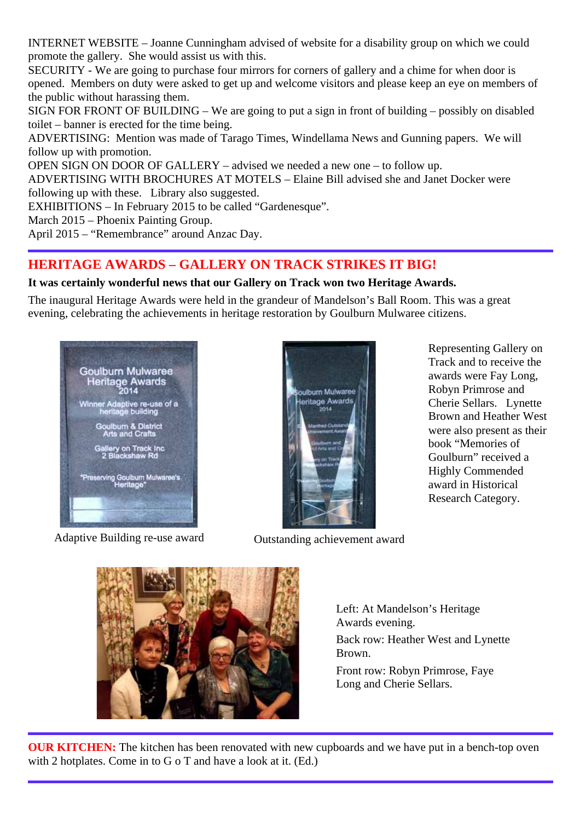INTERNET WEBSITE – Joanne Cunningham advised of website for a disability group on which we could promote the gallery. She would assist us with this.

SECURITY - We are going to purchase four mirrors for corners of gallery and a chime for when door is opened. Members on duty were asked to get up and welcome visitors and please keep an eye on members of the public without harassing them.

SIGN FOR FRONT OF BUILDING – We are going to put a sign in front of building – possibly on disabled toilet – banner is erected for the time being.

ADVERTISING: Mention was made of Tarago Times, Windellama News and Gunning papers. We will follow up with promotion.

OPEN SIGN ON DOOR OF GALLERY – advised we needed a new one – to follow up.

ADVERTISING WITH BROCHURES AT MOTELS – Elaine Bill advised she and Janet Docker were following up with these. Library also suggested.

EXHIBITIONS – In February 2015 to be called "Gardenesque".

March 2015 – Phoenix Painting Group.

April 2015 – "Remembrance" around Anzac Day.

## **HERITAGE AWARDS – GALLERY ON TRACK STRIKES IT BIG!**

### **It was certainly wonderful news that our Gallery on Track won two Heritage Awards.**

The inaugural Heritage Awards were held in the grandeur of Mandelson's Ball Room. This was a great evening, celebrating the achievements in heritage restoration by Goulburn Mulwaree citizens.



Adaptive Building re-use award **Outstanding achievement award** 



Representing Gallery on Track and to receive the awards were Fay Long, Robyn Primrose and Cherie Sellars. Lynette Brown and Heather West were also present as their book "Memories of Goulburn" received a Highly Commended award in Historical Research Category.



Left: At Mandelson's Heritage Awards evening. Back row: Heather West and Lynette Brown.

Front row: Robyn Primrose, Faye Long and Cherie Sellars.

**OUR KITCHEN:** The kitchen has been renovated with new cupboards and we have put in a bench-top oven with 2 hotplates. Come in to G o T and have a look at it. (Ed.)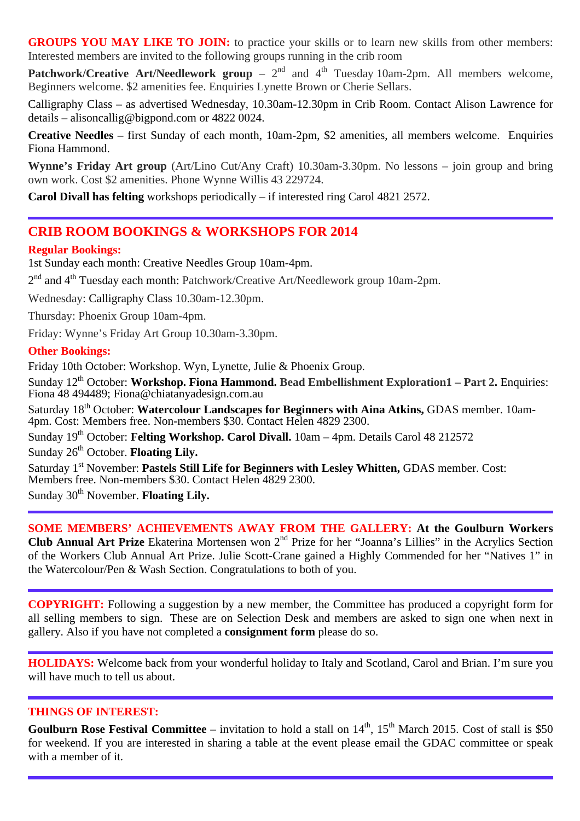GROUPS YOU MAY LIKE TO JOIN: to practice your skills or to learn new skills from other members: Interested members are invited to the following groups running in the crib room

**Patchwork/Creative Art/Needlework group** – 2<sup>nd</sup> and 4<sup>th</sup> Tuesday 10am-2pm. All members welcome, Beginners welcome. \$2 amenities fee. Enquiries Lynette Brown or Cherie Sellars.

Calligraphy Class – as advertised Wednesday, 10.30am-12.30pm in Crib Room. Contact Alison Lawrence for details – alisoncallig@bigpond.com or 4822 0024.

**Creative Needles** – first Sunday of each month, 10am-2pm, \$2 amenities, all members welcome. Enquiries Fiona Hammond.

**Wynne's Friday Art group** (Art/Lino Cut/Any Craft) 10.30am-3.30pm. No lessons – join group and bring own work. Cost \$2 amenities. Phone Wynne Willis 43 229724.

**Carol Divall has felting** workshops periodically – if interested ring Carol 4821 2572.

### **CRIB ROOM BOOKINGS & WORKSHOPS FOR 2014**

#### **Regular Bookings:**

1st Sunday each month: Creative Needles Group 10am-4pm.

2<sup>nd</sup> and 4<sup>th</sup> Tuesday each month: Patchwork/Creative Art/Needlework group 10am-2pm.

Wednesday: Calligraphy Class 10.30am-12.30pm.

Thursday: Phoenix Group 10am-4pm.

Friday: Wynne's Friday Art Group 10.30am-3.30pm.

### **Other Bookings:**

Friday 10th October: Workshop. Wyn, Lynette, Julie & Phoenix Group.

Sunday 12<sup>th</sup> October: Workshop. Fiona Hammond. Bead Embellishment Exploration1 – Part 2. Enquiries: Fiona 48 494489; Fiona@chiatanyadesign.com.au

Saturday 18<sup>th</sup> October: Watercolour Landscapes for Beginners with Aina Atkins, GDAS member. 10am-4pm. Cost: Members free. Non-members \$30. Contact Helen 4829 2300.

Sunday 19<sup>th</sup> October: **Felting Workshop. Carol Divall.** 10am – 4pm. Details Carol 48 212572 Sunday 26<sup>th</sup> October. **Floating Lily.** 

Saturday 1<sup>st</sup> November: Pastels Still Life for Beginners with Lesley Whitten, GDAS member. Cost: Members free. Non-members \$30. Contact Helen 4829 2300.

Sunday 30<sup>th</sup> November. **Floating Lily.** 

### **SOME MEMBERS' ACHIEVEMENTS AWAY FROM THE GALLERY: At the Goulburn Workers Club Annual Art Prize** Ekaterina Mortensen won 2<sup>nd</sup> Prize for her "Joanna's Lillies" in the Acrylics Section of the Workers Club Annual Art Prize. Julie Scott-Crane gained a Highly Commended for her "Natives 1" in the Watercolour/Pen & Wash Section. Congratulations to both of you.

**COPYRIGHT:** Following a suggestion by a new member, the Committee has produced a copyright form for all selling members to sign. These are on Selection Desk and members are asked to sign one when next in gallery. Also if you have not completed a **consignment form** please do so.

**HOLIDAYS:** Welcome back from your wonderful holiday to Italy and Scotland, Carol and Brian. I'm sure you will have much to tell us about.

#### **THINGS OF INTEREST:**

**Goulburn Rose Festival Committee** – invitation to hold a stall on 14<sup>th</sup>, 15<sup>th</sup> March 2015. Cost of stall is \$50 for weekend. If you are interested in sharing a table at the event please email the GDAC committee or speak with a member of it.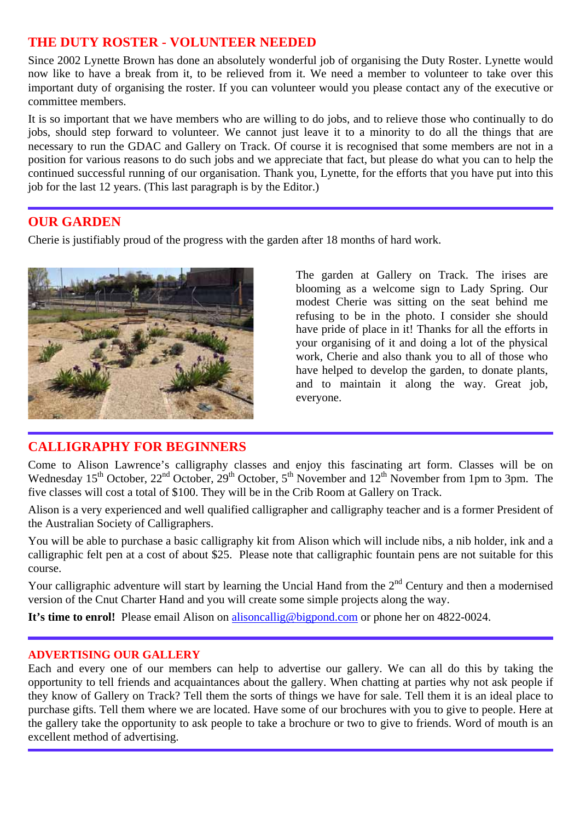## **THE DUTY ROSTER - VOLUNTEER NEEDED**

Since 2002 Lynette Brown has done an absolutely wonderful job of organising the Duty Roster. Lynette would now like to have a break from it, to be relieved from it. We need a member to volunteer to take over this important duty of organising the roster. If you can volunteer would you please contact any of the executive or committee members.

It is so important that we have members who are willing to do jobs, and to relieve those who continually to do jobs, should step forward to volunteer. We cannot just leave it to a minority to do all the things that are necessary to run the GDAC and Gallery on Track. Of course it is recognised that some members are not in a position for various reasons to do such jobs and we appreciate that fact, but please do what you can to help the continued successful running of our organisation. Thank you, Lynette, for the efforts that you have put into this job for the last 12 years. (This last paragraph is by the Editor.)

### **OUR GARDEN**

Cherie is justifiably proud of the progress with the garden after 18 months of hard work.



**CALLIGRAPHY FOR BEGINNERS** 

The garden at Gallery on Track. The irises are blooming as a welcome sign to Lady Spring. Our modest Cherie was sitting on the seat behind me refusing to be in the photo. I consider she should have pride of place in it! Thanks for all the efforts in your organising of it and doing a lot of the physical work, Cherie and also thank you to all of those who have helped to develop the garden, to donate plants, and to maintain it along the way. Great job, everyone.

Come to Alison Lawrence's calligraphy classes and enjoy this fascinating art form. Classes will be on Wednesday 15<sup>th</sup> October, 22<sup>nd</sup> October, 29<sup>th</sup> October, 5<sup>th</sup> November and 12<sup>th</sup> November from 1pm to 3pm. The five classes will cost a total of \$100. They will be in the Crib Room at Gallery on Track.

Alison is a very experienced and well qualified calligrapher and calligraphy teacher and is a former President of the Australian Society of Calligraphers.

You will be able to purchase a basic calligraphy kit from Alison which will include nibs, a nib holder, ink and a calligraphic felt pen at a cost of about \$25. Please note that calligraphic fountain pens are not suitable for this course.

Your calligraphic adventure will start by learning the Uncial Hand from the  $2<sup>nd</sup>$  Century and then a modernised version of the Cnut Charter Hand and you will create some simple projects along the way.

**It's time to enrol!** Please email Alison on alisoncallig@bigpond.com or phone her on 4822-0024.

### **ADVERTISING OUR GALLERY**

Each and every one of our members can help to advertise our gallery. We can all do this by taking the opportunity to tell friends and acquaintances about the gallery. When chatting at parties why not ask people if they know of Gallery on Track? Tell them the sorts of things we have for sale. Tell them it is an ideal place to purchase gifts. Tell them where we are located. Have some of our brochures with you to give to people. Here at the gallery take the opportunity to ask people to take a brochure or two to give to friends. Word of mouth is an excellent method of advertising.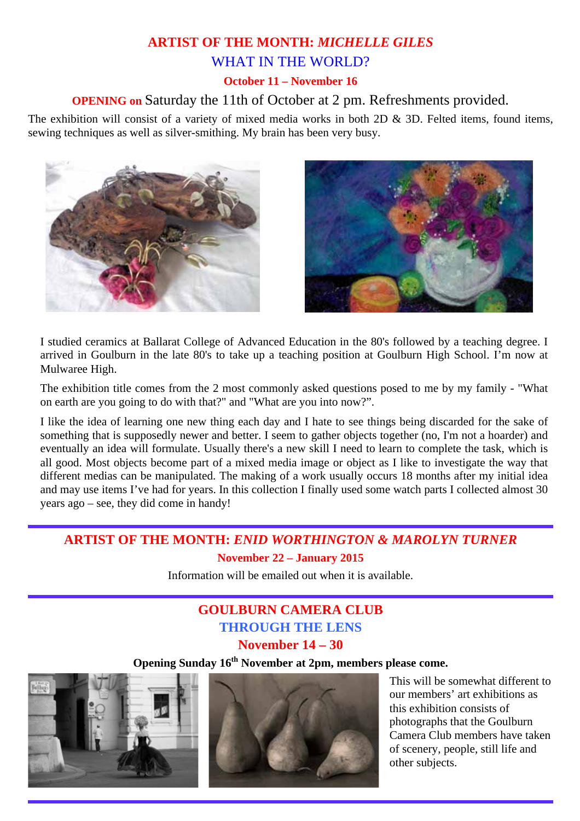# **ARTIST OF THE MONTH:** *MICHELLE GILES*  WHAT IN THE WORLD?

### **October 11 – November 16**

### **OPENING on** Saturday the 11th of October at 2 pm. Refreshments provided.

The exhibition will consist of a variety of mixed media works in both 2D & 3D. Felted items, found items, sewing techniques as well as silver-smithing. My brain has been very busy.





I studied ceramics at Ballarat College of Advanced Education in the 80's followed by a teaching degree. I arrived in Goulburn in the late 80's to take up a teaching position at Goulburn High School. I'm now at Mulwaree High.

The exhibition title comes from the 2 most commonly asked questions posed to me by my family - "What on earth are you going to do with that?" and "What are you into now?".

I like the idea of learning one new thing each day and I hate to see things being discarded for the sake of something that is supposedly newer and better. I seem to gather objects together (no, I'm not a hoarder) and eventually an idea will formulate. Usually there's a new skill I need to learn to complete the task, which is all good. Most objects become part of a mixed media image or object as I like to investigate the way that different medias can be manipulated. The making of a work usually occurs 18 months after my initial idea and may use items I've had for years. In this collection I finally used some watch parts I collected almost 30 years ago – see, they did come in handy!

## **ARTIST OF THE MONTH:** *ENID WORTHINGTON & MAROLYN TURNER*  **November 22 – January 2015**

Information will be emailed out when it is available.

# **GOULBURN CAMERA CLUB THROUGH THE LENS**

**November 14 – 30** 

# **Opening Sunday 16th November at 2pm, members please come.**





This will be somewhat different to our members' art exhibitions as this exhibition consists of photographs that the Goulburn Camera Club members have taken of scenery, people, still life and other subjects.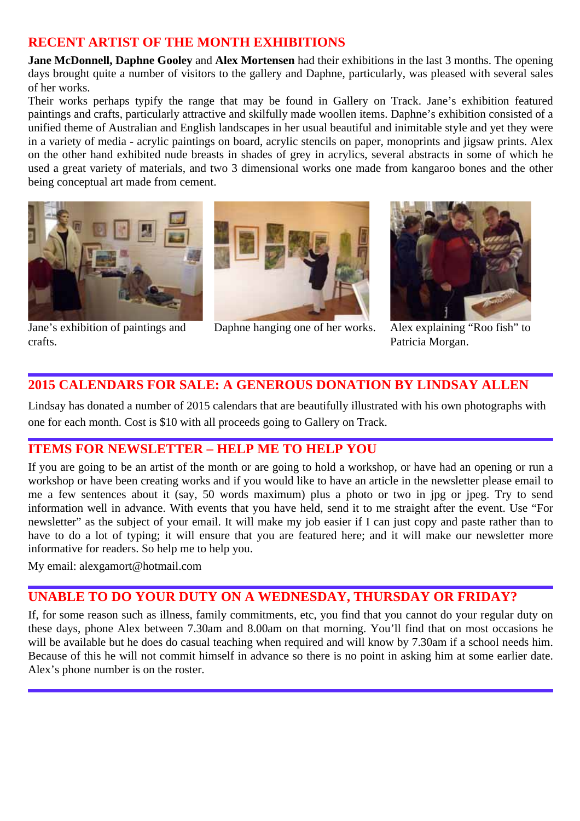## **RECENT ARTIST OF THE MONTH EXHIBITIONS**

**Jane McDonnell, Daphne Gooley and Alex Mortensen** had their exhibitions in the last 3 months. The opening days brought quite a number of visitors to the gallery and Daphne, particularly, was pleased with several sales of her works.

Their works perhaps typify the range that may be found in Gallery on Track. Jane's exhibition featured paintings and crafts, particularly attractive and skilfully made woollen items. Daphne's exhibition consisted of a unified theme of Australian and English landscapes in her usual beautiful and inimitable style and yet they were in a variety of media - acrylic paintings on board, acrylic stencils on paper, monoprints and jigsaw prints. Alex on the other hand exhibited nude breasts in shades of grey in acrylics, several abstracts in some of which he used a great variety of materials, and two 3 dimensional works one made from kangaroo bones and the other being conceptual art made from cement.



Jane's exhibition of paintings and crafts.



Daphne hanging one of her works. Alex explaining "Roo fish" to



Patricia Morgan.

## **2015 CALENDARS FOR SALE: A GENEROUS DONATION BY LINDSAY ALLEN**

Lindsay has donated a number of 2015 calendars that are beautifully illustrated with his own photographs with one for each month. Cost is \$10 with all proceeds going to Gallery on Track.

## **ITEMS FOR NEWSLETTER – HELP ME TO HELP YOU**

If you are going to be an artist of the month or are going to hold a workshop, or have had an opening or run a workshop or have been creating works and if you would like to have an article in the newsletter please email to me a few sentences about it (say, 50 words maximum) plus a photo or two in jpg or jpeg. Try to send information well in advance. With events that you have held, send it to me straight after the event. Use "For newsletter" as the subject of your email. It will make my job easier if I can just copy and paste rather than to have to do a lot of typing; it will ensure that you are featured here; and it will make our newsletter more informative for readers. So help me to help you.

My email: alexgamort@hotmail.com

# **UNABLE TO DO YOUR DUTY ON A WEDNESDAY, THURSDAY OR FRIDAY?**

If, for some reason such as illness, family commitments, etc, you find that you cannot do your regular duty on these days, phone Alex between 7.30am and 8.00am on that morning. You'll find that on most occasions he will be available but he does do casual teaching when required and will know by 7.30am if a school needs him. Because of this he will not commit himself in advance so there is no point in asking him at some earlier date. Alex's phone number is on the roster.